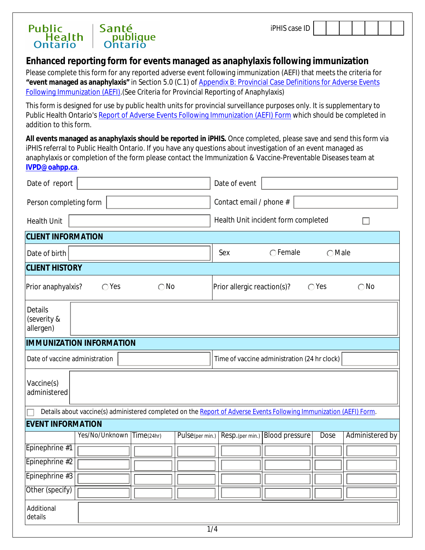

# **Enhanced reporting form for events managed as anaphylaxis following immunization**

Please complete this form for any reported adverse event following immunization (AEFI) that meets the criteria for **"event managed as anaphylaxis"** in Section 5.0 (C.1) of [Appendix B: Provincial Case Definitions for Adverse Events](http://www.health.gov.on.ca/en/pro/programs/publichealth/oph_standards/docs/aefi_cd.pdf)  [Following Immunization \(AEFI\)](http://www.health.gov.on.ca/en/pro/programs/publichealth/oph_standards/docs/aefi_cd.pdf).(See Criteria for Provincial Reporting of Anaphylaxis)

This form is designed for use by public health units for provincial surveillance purposes only. It is *supplementary* to Public Health Ontario's [Report of Adverse Events Following Immunization \(AEFI\) Form](https://www.publichealthontario.ca/-/media/documents/aefi-reporting-form.pdf?la=en) which should be completed in addition to this form.

**All events managed as anaphylaxis should be reported in iPHIS.** Once completed, please save and send this form via iPHIS referral to Public Health Ontario. If you have any questions about investigation of an event managed as anaphylaxis or completion of the form please contact the Immunization & Vaccine-Preventable Diseases team at **[IVPD@oahpp.ca](mailto:IVPD@oahpp.ca)**.

| Date of report                                                                                                      |                                 |               |                  | Date of event                       |                                              |                 |                 |  |
|---------------------------------------------------------------------------------------------------------------------|---------------------------------|---------------|------------------|-------------------------------------|----------------------------------------------|-----------------|-----------------|--|
| Person completing form                                                                                              |                                 |               |                  | Contact email / phone #             |                                              |                 |                 |  |
| <b>Health Unit</b>                                                                                                  |                                 |               |                  | Health Unit incident form completed |                                              |                 |                 |  |
|                                                                                                                     | <b>CLIENT INFORMATION</b>       |               |                  |                                     |                                              |                 |                 |  |
| Date of birth                                                                                                       |                                 |               |                  | Sex                                 | $\bigcap$ Female                             | $\bigcirc$ Male |                 |  |
| <b>CLIENT HISTORY</b>                                                                                               |                                 |               |                  |                                     |                                              |                 |                 |  |
| Prior anaphyalxis?                                                                                                  | $\bigcirc$ Yes                  | $\bigcirc$ No |                  | Prior allergic reaction(s)?         |                                              | $\bigcirc$ Yes  | $\bigcirc$ No   |  |
| Details<br>(severity &<br>allergen)                                                                                 |                                 |               |                  |                                     |                                              |                 |                 |  |
|                                                                                                                     | <b>IMMUNIZATION INFORMATION</b> |               |                  |                                     |                                              |                 |                 |  |
| Date of vaccine administration                                                                                      |                                 |               |                  |                                     | Time of vaccine administration (24 hr clock) |                 |                 |  |
| Vaccine(s)<br>administered                                                                                          |                                 |               |                  |                                     |                                              |                 |                 |  |
| Details about vaccine(s) administered completed on the Report of Adverse Events Following Immunization (AEFI) Form. |                                 |               |                  |                                     |                                              |                 |                 |  |
| <b>EVENT INFORMATION</b>                                                                                            |                                 |               |                  |                                     |                                              |                 |                 |  |
|                                                                                                                     | Yes/No/Unknown Time(24hr)       |               | Pulse(per min.)  |                                     | Resp.(per min.) Blood pressure               | Dose            | Administered by |  |
| Epinephrine #1                                                                                                      | $\blacktriangledown$            |               |                  |                                     |                                              |                 |                 |  |
| Epinephrine #2                                                                                                      | $\overline{\mathbf{v}}$         |               |                  |                                     |                                              |                 |                 |  |
| Epinephrine #3                                                                                                      | $\overline{\phantom{0}}$        |               |                  |                                     |                                              |                 |                 |  |
| Other (specify)                                                                                                     | $\overline{\mathbf{v}}$         |               |                  |                                     |                                              |                 |                 |  |
| Additional<br>details                                                                                               |                                 |               |                  |                                     |                                              |                 |                 |  |
|                                                                                                                     |                                 |               | $\overline{1/4}$ |                                     |                                              |                 |                 |  |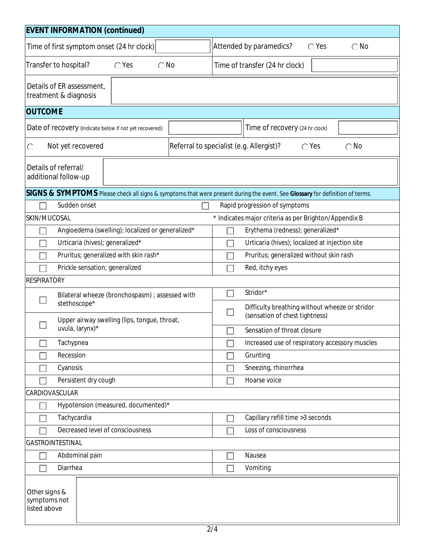| <b>EVENT INFORMATION (continued)</b>                                                                                         |                                                                             |  |  |  |  |  |
|------------------------------------------------------------------------------------------------------------------------------|-----------------------------------------------------------------------------|--|--|--|--|--|
| Time of first symptom onset (24 hr clock)                                                                                    | Attended by paramedics?<br>$\bigcap$ Yes<br>$\bigcirc$ No                   |  |  |  |  |  |
| $\bigcirc$ No<br>Transfer to hospital?<br>$\bigcirc$ Yes                                                                     | Time of transfer (24 hr clock)                                              |  |  |  |  |  |
| Details of ER assessment,<br>treatment & diagnosis                                                                           |                                                                             |  |  |  |  |  |
| <b>OUTCOME</b>                                                                                                               |                                                                             |  |  |  |  |  |
| Date of recovery (Indicate below if not yet recovered)                                                                       | Time of recovery (24 hr clock)                                              |  |  |  |  |  |
| Not yet recovered<br>$\bigcirc$                                                                                              | Referral to specialist (e.g. Allergist)?<br>$\bigcirc$ No<br>$\bigcirc$ Yes |  |  |  |  |  |
| Details of referral/<br>additional follow-up                                                                                 |                                                                             |  |  |  |  |  |
| SIGNS & SYMPTOMS Please check all signs & symptoms that were present during the event. See Glossary for definition of terms. |                                                                             |  |  |  |  |  |
| Sudden onset                                                                                                                 | Rapid progression of symptoms                                               |  |  |  |  |  |
| SKIN/MUCOSAL                                                                                                                 | * Indicates major criteria as per Brighton/Appendix B                       |  |  |  |  |  |
| Angioedema (swelling); localized or generalized*                                                                             | Erythema (redness); generalized*                                            |  |  |  |  |  |
| Urticaria (hives); generalized*                                                                                              | Urticaria (hives); localized at injection site                              |  |  |  |  |  |
| Pruritus; generalized with skin rash*                                                                                        | Pruritus; generalized without skin rash                                     |  |  |  |  |  |
| Prickle sensation; generalized                                                                                               | Red, itchy eyes                                                             |  |  |  |  |  |
| <b>RESPIRATORY</b>                                                                                                           |                                                                             |  |  |  |  |  |
| Bilateral wheeze (bronchospasm) ; assessed with                                                                              | Stridor*                                                                    |  |  |  |  |  |
| stethoscope*                                                                                                                 | Difficulty breathing without wheeze or stridor                              |  |  |  |  |  |
| Upper airway swelling (lips, tongue, throat,<br>uvula, larynx)*                                                              | (sensation of chest tightness)<br>Sensation of throat closure               |  |  |  |  |  |
| Tachypnea                                                                                                                    | Increased use of respiratory accessory muscles                              |  |  |  |  |  |
| Recession                                                                                                                    | Grunting                                                                    |  |  |  |  |  |
| Cyanosis                                                                                                                     | Sneezing, rhinorrhea                                                        |  |  |  |  |  |
|                                                                                                                              | Hoarse voice                                                                |  |  |  |  |  |
| Persistent dry cough<br><b>CARDIOVASCULAR</b>                                                                                |                                                                             |  |  |  |  |  |
| Hypotension (measured, documented)*                                                                                          |                                                                             |  |  |  |  |  |
| Tachycardia<br>Capillary refill time > 3 seconds                                                                             |                                                                             |  |  |  |  |  |
| Decreased level of consciousness                                                                                             | Loss of consciousness                                                       |  |  |  |  |  |
| GASTROINTESTINAL                                                                                                             |                                                                             |  |  |  |  |  |
| Abdominal pain<br>Nausea                                                                                                     |                                                                             |  |  |  |  |  |
| Diarrhea                                                                                                                     | Vomiting                                                                    |  |  |  |  |  |
|                                                                                                                              |                                                                             |  |  |  |  |  |
| Other signs &<br>symptoms not<br>listed above                                                                                |                                                                             |  |  |  |  |  |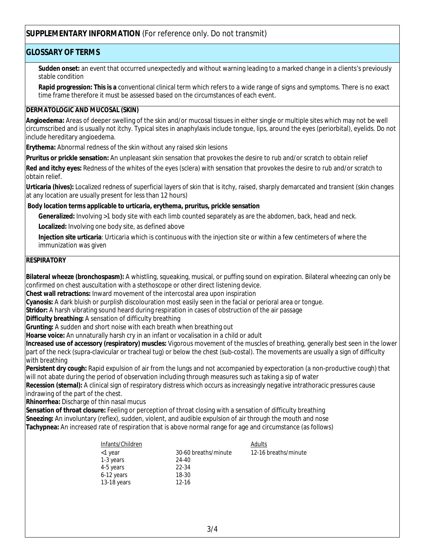# **SUPPLEMENTARY INFORMATION** (For reference only. Do not transmit)

## **GLOSSARY OF TERMS**

**Sudden onset:** an event that occurred unexpectedly and without warning leading to a marked change in a clients's previously stable condition

**Rapid progression: This is a** conventional clinical term which refers to a wide range of signs and symptoms. There is no exact time frame therefore it must be assessed based on the circumstances of each event.

#### **DERMATOLOGIC AND MUCOSAL (SKIN)**

**Angioedema:** Areas of deeper swelling of the skin and/or mucosal tissues in either single or multiple sites which may not be well circumscribed and is usually not itchy. Typical sites in anaphylaxis include tongue, lips, around the eyes (periorbital), eyelids. Do not include hereditary angioedema.

**Erythema:** Abnormal redness of the skin without any raised skin lesions

**Pruritus or prickle sensation:** An unpleasant skin sensation that provokes the desire to rub and/or scratch to obtain relief

**Red and itchy eyes:** Redness of the whites of the eyes (sclera) with sensation that provokes the desire to rub and/or scratch to obtain relief.

**Urticaria (hives):** Localized redness of superficial layers of skin that is itchy, raised, sharply demarcated and transient (skin changes at any location are usually present for less than 12 hours)

#### **Body location terms applicable to urticaria, erythema, pruritus, prickle sensation**

**Generalized:** Involving >1 body site with each limb counted separately as are the abdomen, back, head and neck.

**Localized:** Involving one body site, as defined above

**Injection site urticaria**: Urticaria which is continuous with the injection site or within a few centimeters of where the immunization was given

#### **RESPIRATORY**

**Bilateral wheeze (bronchospasm):** A whistling, squeaking, musical, or puffing sound on expiration. Bilateral wheezing can only be confirmed on chest auscultation with a stethoscope or other direct listening device.

**Chest wall retractions:** Inward movement of the intercostal area upon inspiration

**Cyanosis:** A dark bluish or purplish discolouration most easily seen in the facial or perioral area or tongue.

**Stridor:** A harsh vibrating sound heard during respiration in cases of obstruction of the air passage

**Difficulty breathing:** A sensation of difficulty breathing

**Grunting:** A sudden and short noise with each breath when breathing out

**Hoarse voice:** An unnaturally harsh cry in an infant or vocalisation in a child or adult

**Increased use of accessory (respiratory) muscles:** Vigorous movement of the muscles of breathing, generally best seen in the lower part of the neck (supra-clavicular or tracheal tug) or below the chest (sub-costal). The movements are usually a sign of difficulty with breathing

**Persistent dry cough:** Rapid expulsion of air from the lungs and not accompanied by expectoration (a non-productive cough) that will not abate during the period of observation including through measures such as taking a sip of water

**Recession (sternal):** A clinical sign of respiratory distress which occurs as increasingly negative intrathoracic pressures cause indrawing of the part of the chest.

**Rhinorrhea:** Discharge of thin nasal mucus

**Sensation of throat closure:** Feeling or perception of throat closing with a sensation of difficulty breathing **Sneezing:** An involuntary (reflex), sudden, violent, and audible expulsion of air through the mouth and nose **Tachypnea:** An increased rate of respiration that is above normal range for age and circumstance (as follows)

| Infants/Children |                      | Adults               |
|------------------|----------------------|----------------------|
| <1 year          | 30-60 breaths/minute | 12-16 breaths/minute |
| 1-3 years        | 24-40                |                      |
| 4-5 years        | 22-34                |                      |
| 6-12 years       | 18-30                |                      |
| 13-18 years      | $12 - 16$            |                      |
|                  |                      |                      |